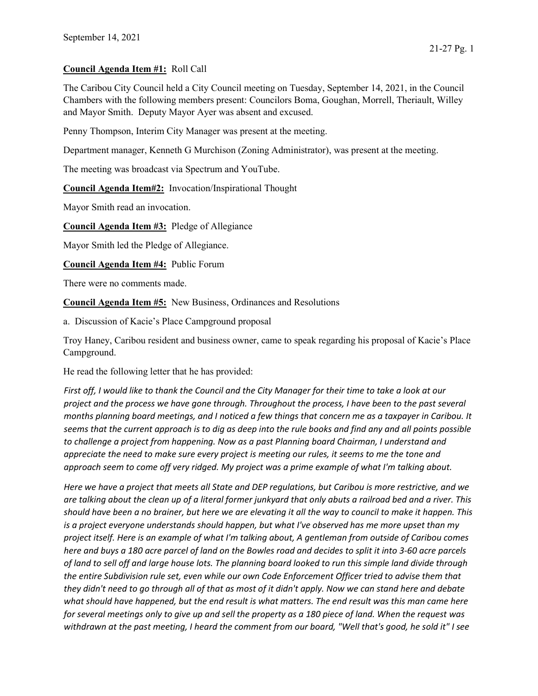## Council Agenda Item #1: Roll Call

The Caribou City Council held a City Council meeting on Tuesday, September 14, 2021, in the Council Chambers with the following members present: Councilors Boma, Goughan, Morrell, Theriault, Willey and Mayor Smith. Deputy Mayor Ayer was absent and excused.

Penny Thompson, Interim City Manager was present at the meeting.

Department manager, Kenneth G Murchison (Zoning Administrator), was present at the meeting.

The meeting was broadcast via Spectrum and YouTube.

Council Agenda Item#2: Invocation/Inspirational Thought

Mayor Smith read an invocation.

Council Agenda Item #3: Pledge of Allegiance

Mayor Smith led the Pledge of Allegiance.

Council Agenda Item #4: Public Forum

There were no comments made.

Council Agenda Item #5: New Business, Ordinances and Resolutions

a. Discussion of Kacie's Place Campground proposal

Troy Haney, Caribou resident and business owner, came to speak regarding his proposal of Kacie's Place Campground.

He read the following letter that he has provided:

First off, I would like to thank the Council and the City Manager for their time to take a look at our project and the process we have gone through. Throughout the process, I have been to the past several months planning board meetings, and I noticed a few things that concern me as a taxpayer in Caribou. It seems that the current approach is to dig as deep into the rule books and find any and all points possible to challenge a project from happening. Now as a past Planning board Chairman, I understand and appreciate the need to make sure every project is meeting our rules, it seems to me the tone and approach seem to come off very ridged. My project was a prime example of what I'm talking about.

Here we have a project that meets all State and DEP regulations, but Caribou is more restrictive, and we are talking about the clean up of a literal former junkyard that only abuts a railroad bed and a river. This should have been a no brainer, but here we are elevating it all the way to council to make it happen. This is a project everyone understands should happen, but what I've observed has me more upset than my project itself. Here is an example of what I'm talking about, A gentleman from outside of Caribou comes here and buys a 180 acre parcel of land on the Bowles road and decides to split it into 3-60 acre parcels of land to sell off and large house lots. The planning board looked to run this simple land divide through the entire Subdivision rule set, even while our own Code Enforcement Officer tried to advise them that they didn't need to go through all of that as most of it didn't apply. Now we can stand here and debate what should have happened, but the end result is what matters. The end result was this man came here for several meetings only to give up and sell the property as a 180 piece of land. When the request was withdrawn at the past meeting, I heard the comment from our board, "Well that's good, he sold it" I see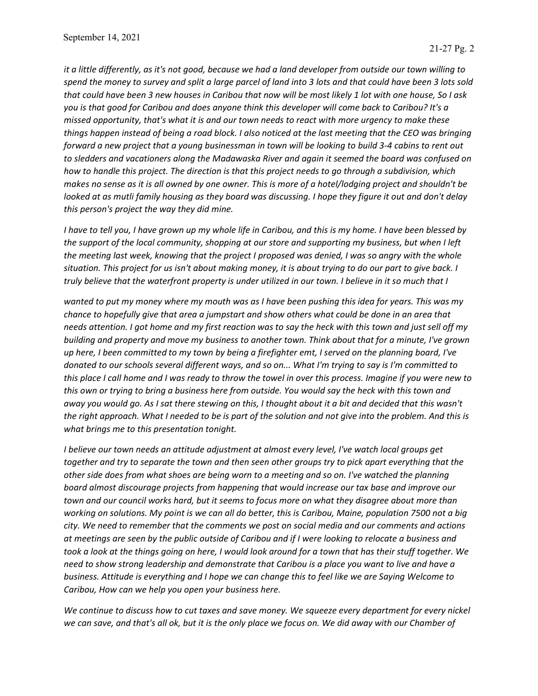it a little differently, as it's not good, because we had a land developer from outside our town willing to spend the money to survey and split a large parcel of land into 3 lots and that could have been 3 lots sold that could have been 3 new houses in Caribou that now will be most likely 1 lot with one house, So I ask you is that good for Caribou and does anyone think this developer will come back to Caribou? It's a missed opportunity, that's what it is and our town needs to react with more urgency to make these things happen instead of being a road block. I also noticed at the last meeting that the CEO was bringing forward a new project that a young businessman in town will be looking to build 3-4 cabins to rent out to sledders and vacationers along the Madawaska River and again it seemed the board was confused on how to handle this project. The direction is that this project needs to go through a subdivision, which makes no sense as it is all owned by one owner. This is more of a hotel/lodging project and shouldn't be looked at as mutli family housing as they board was discussing. I hope they figure it out and don't delay this person's project the way they did mine.

I have to tell you, I have grown up my whole life in Caribou, and this is my home. I have been blessed by the support of the local community, shopping at our store and supporting my business, but when I left the meeting last week, knowing that the project I proposed was denied, I was so angry with the whole situation. This project for us isn't about making money, it is about trying to do our part to give back. I truly believe that the waterfront property is under utilized in our town. I believe in it so much that I

wanted to put my money where my mouth was as I have been pushing this idea for years. This was my chance to hopefully give that area a jumpstart and show others what could be done in an area that needs attention. I got home and my first reaction was to say the heck with this town and just sell off my building and property and move my business to another town. Think about that for a minute, I've grown up here, I been committed to my town by being a firefighter emt, I served on the planning board, I've donated to our schools several different ways, and so on... What I'm trying to say is I'm committed to this place I call home and I was ready to throw the towel in over this process. Imagine if you were new to this own or trying to bring a business here from outside. You would say the heck with this town and away you would go. As I sat there stewing on this, I thought about it a bit and decided that this wasn't the right approach. What I needed to be is part of the solution and not give into the problem. And this is what brings me to this presentation tonight.

I believe our town needs an attitude adjustment at almost every level, I've watch local groups get together and try to separate the town and then seen other groups try to pick apart everything that the other side does from what shoes are being worn to a meeting and so on. I've watched the planning board almost discourage projects from happening that would increase our tax base and improve our town and our council works hard, but it seems to focus more on what they disagree about more than working on solutions. My point is we can all do better, this is Caribou, Maine, population 7500 not a big city. We need to remember that the comments we post on social media and our comments and actions at meetings are seen by the public outside of Caribou and if I were looking to relocate a business and took a look at the things going on here, I would look around for a town that has their stuff together. We need to show strong leadership and demonstrate that Caribou is a place you want to live and have a business. Attitude is everything and I hope we can change this to feel like we are Saying Welcome to Caribou, How can we help you open your business here.

We continue to discuss how to cut taxes and save money. We squeeze every department for every nickel we can save, and that's all ok, but it is the only place we focus on. We did away with our Chamber of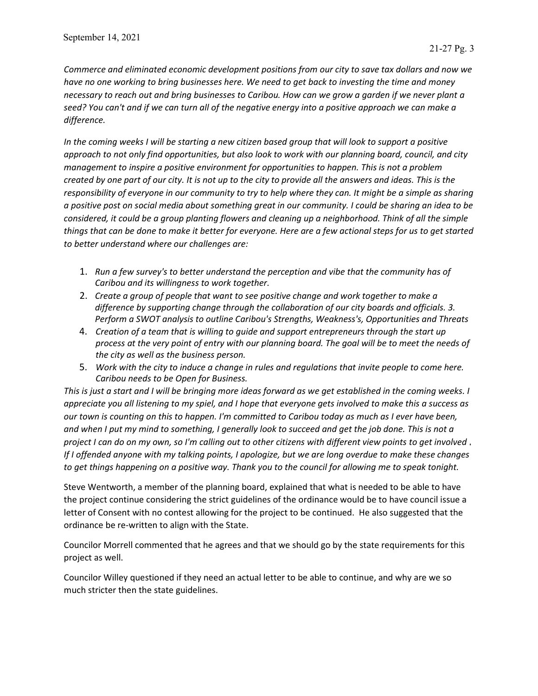Commerce and eliminated economic development positions from our city to save tax dollars and now we have no one working to bring businesses here. We need to get back to investing the time and money necessary to reach out and bring businesses to Caribou. How can we grow a garden if we never plant a seed? You can't and if we can turn all of the negative energy into a positive approach we can make a difference.

In the coming weeks I will be starting a new citizen based group that will look to support a positive approach to not only find opportunities, but also look to work with our planning board, council, and city management to inspire a positive environment for opportunities to happen. This is not a problem created by one part of our city. It is not up to the city to provide all the answers and ideas. This is the responsibility of everyone in our community to try to help where they can. It might be a simple as sharing a positive post on social media about something great in our community. I could be sharing an idea to be considered, it could be a group planting flowers and cleaning up a neighborhood. Think of all the simple things that can be done to make it better for everyone. Here are a few actional steps for us to get started to better understand where our challenges are:

- 1. Run a few survey's to better understand the perception and vibe that the community has of Caribou and its willingness to work together.
- 2. Create a group of people that want to see positive change and work together to make a difference by supporting change through the collaboration of our city boards and officials. 3. Perform a SWOT analysis to outline Caribou's Strengths, Weakness's, Opportunities and Threats
- 4. Creation of a team that is willing to guide and support entrepreneurs through the start up process at the very point of entry with our planning board. The goal will be to meet the needs of the city as well as the business person.
- 5. Work with the city to induce a change in rules and regulations that invite people to come here. Caribou needs to be Open for Business.

This is just a start and I will be bringing more ideas forward as we get established in the coming weeks. I appreciate you all listening to my spiel, and I hope that everyone gets involved to make this a success as our town is counting on this to happen. I'm committed to Caribou today as much as I ever have been, and when I put my mind to something, I generally look to succeed and get the job done. This is not a project I can do on my own, so I'm calling out to other citizens with different view points to get involved. If I offended anyone with my talking points, I apologize, but we are long overdue to make these changes to get things happening on a positive way. Thank you to the council for allowing me to speak tonight.

Steve Wentworth, a member of the planning board, explained that what is needed to be able to have the project continue considering the strict guidelines of the ordinance would be to have council issue a letter of Consent with no contest allowing for the project to be continued. He also suggested that the ordinance be re-written to align with the State.

Councilor Morrell commented that he agrees and that we should go by the state requirements for this project as well.

Councilor Willey questioned if they need an actual letter to be able to continue, and why are we so much stricter then the state guidelines.